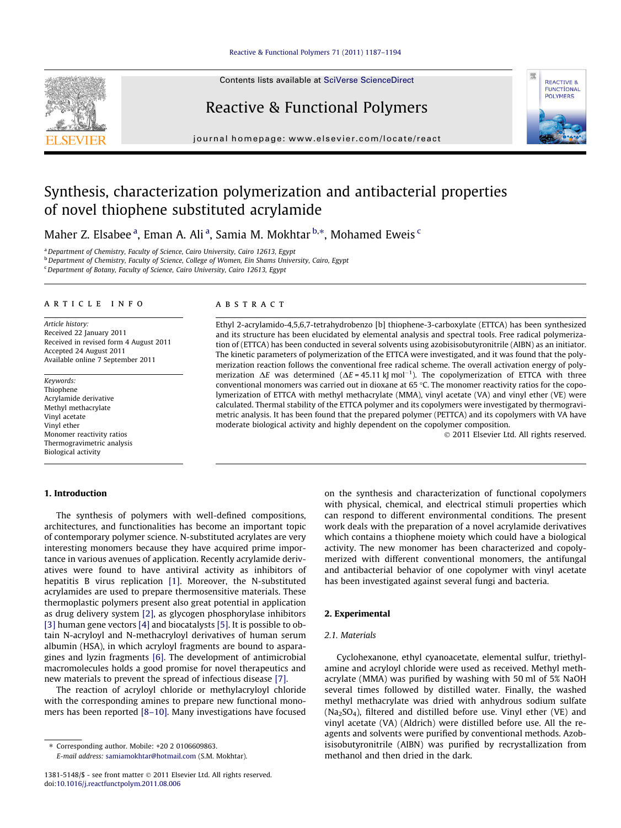# [Reactive & Functional Polymers 71 \(2011\) 1187–1194](http://dx.doi.org/10.1016/j.reactfunctpolym.2011.08.006)

Contents lists available at [SciVerse ScienceDirect](http://www.sciencedirect.com/science/journal/13815148)

# Reactive & Functional Polymers

journal homepage: [www.elsevier.com/locate/react](http://www.elsevier.com/locate/react)

# Synthesis, characterization polymerization and antibacterial properties of novel thiophene substituted acrylamide

Maher Z. Elsabee <sup>a</sup>, Eman A. Ali <sup>a</sup>, Samia M. Mokhtar <sup>b,\*</sup>, Mohamed Eweis <sup>c</sup>

<sup>a</sup>Department of Chemistry, Faculty of Science, Cairo University, Cairo 12613, Egypt

<sup>b</sup> Department of Chemistry, Faculty of Science, College of Women, Ein Shams University, Cairo, Egypt

<sup>c</sup> Department of Botany, Faculty of Science, Cairo University, Cairo 12613, Egypt

# article info

Article history: Received 22 January 2011 Received in revised form 4 August 2011 Accepted 24 August 2011 Available online 7 September 2011

Keywords: Thiophene Acrylamide derivative Methyl methacrylate Vinyl acetate Vinyl ether Monomer reactivity ratios Thermogravimetric analysis Biological activity

#### 1. Introduction

# The synthesis of polymers with well-defined compositions, architectures, and functionalities has become an important topic of contemporary polymer science. N-substituted acrylates are very interesting monomers because they have acquired prime importance in various avenues of application. Recently acrylamide derivatives were found to have antiviral activity as inhibitors of hepatitis B virus replication [\[1\].](#page-7-0) Moreover, the N-substituted acrylamides are used to prepare thermosensitive materials. These thermoplastic polymers present also great potential in application as drug delivery system [\[2\]](#page-7-0), as glycogen phosphorylase inhibitors [\[3\]](#page-7-0) human gene vectors [\[4\]](#page-7-0) and biocatalysts [\[5\].](#page-7-0) It is possible to obtain N-acryloyl and N-methacryloyl derivatives of human serum albumin (HSA), in which acryloyl fragments are bound to asparagines and lyzin fragments [\[6\]](#page-7-0). The development of antimicrobial macromolecules holds a good promise for novel therapeutics and new materials to prevent the spread of infectious disease [\[7\].](#page-7-0)

The reaction of acryloyl chloride or methylacryloyl chloride with the corresponding amines to prepare new functional monomers has been reported [\[8–10\]](#page-7-0). Many investigations have focused

⇑ Corresponding author. Mobile: +20 2 0106609863.

E-mail address: [samiamokhtar@hotmail.com](mailto:samiamokhtar@hotmail.com) (S.M. Mokhtar).

#### **ABSTRACT**

Ethyl 2-acrylamido-4,5,6,7-tetrahydrobenzo [b] thiophene-3-carboxylate (ETTCA) has been synthesized and its structure has been elucidated by elemental analysis and spectral tools. Free radical polymerization of (ETTCA) has been conducted in several solvents using azobisisobutyronitrile (AIBN) as an initiator. The kinetic parameters of polymerization of the ETTCA were investigated, and it was found that the polymerization reaction follows the conventional free radical scheme. The overall activation energy of polymerization  $\Delta E$  was determined ( $\Delta E = 45.11$  kJ mol<sup>-1</sup>). The copolymerization of ETTCA with three conventional monomers was carried out in dioxane at 65  $\degree$ C. The monomer reactivity ratios for the copolymerization of ETTCA with methyl methacrylate (MMA), vinyl acetate (VA) and vinyl ether (VE) were calculated. Thermal stability of the ETTCA polymer and its copolymers were investigated by thermogravimetric analysis. It has been found that the prepared polymer (PETTCA) and its copolymers with VA have moderate biological activity and highly dependent on the copolymer composition.

2011 Elsevier Ltd. All rights reserved.

on the synthesis and characterization of functional copolymers with physical, chemical, and electrical stimuli properties which can respond to different environmental conditions. The present work deals with the preparation of a novel acrylamide derivatives which contains a thiophene moiety which could have a biological activity. The new monomer has been characterized and copolymerized with different conventional monomers, the antifungal and antibacterial behavior of one copolymer with vinyl acetate has been investigated against several fungi and bacteria.

### 2. Experimental

#### 2.1. Materials

Cyclohexanone, ethyl cyanoacetate, elemental sulfur, triethylamine and acryloyl chloride were used as received. Methyl methacrylate (MMA) was purified by washing with 50 ml of 5% NaOH several times followed by distilled water. Finally, the washed methyl methacrylate was dried with anhydrous sodium sulfate ( $Na<sub>2</sub>SO<sub>4</sub>$ ), filtered and distilled before use. Vinyl ether (VE) and vinyl acetate (VA) (Aldrich) were distilled before use. All the reagents and solvents were purified by conventional methods. Azobisisobutyronitrile (AIBN) was purified by recrystallization from methanol and then dried in the dark.





<sup>1381-5148/\$ -</sup> see front matter 2011 Elsevier Ltd. All rights reserved. doi[:10.1016/j.reactfunctpolym.2011.08.006](http://dx.doi.org/10.1016/j.reactfunctpolym.2011.08.006)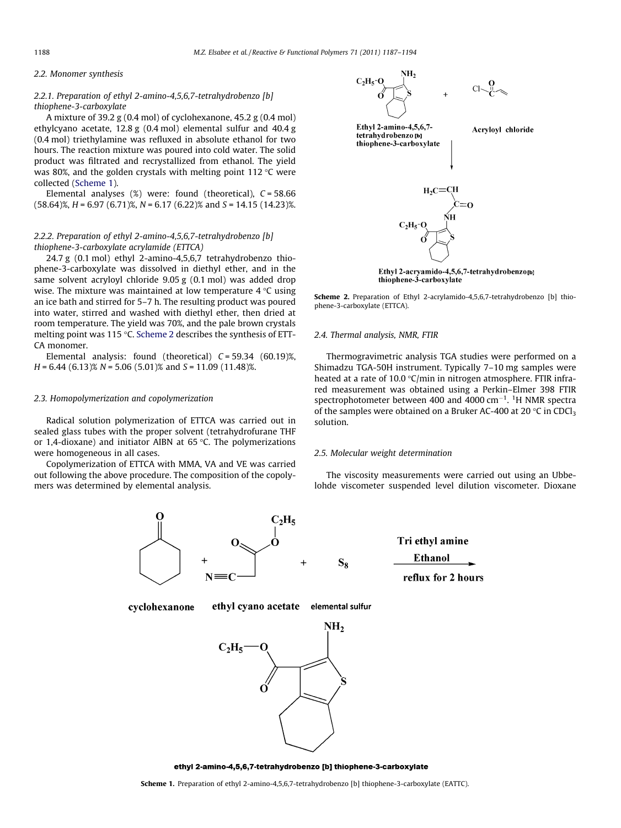### 2.2. Monomer synthesis

# 2.2.1. Preparation of ethyl 2-amino-4,5,6,7-tetrahydrobenzo [b] thiophene-3-carboxylate

A mixture of 39.2 g (0.4 mol) of cyclohexanone, 45.2 g (0.4 mol) ethylcyano acetate, 12.8 g (0.4 mol) elemental sulfur and 40.4 g (0.4 mol) triethylamine was refluxed in absolute ethanol for two hours. The reaction mixture was poured into cold water. The solid product was filtrated and recrystallized from ethanol. The yield was 80%, and the golden crystals with melting point 112 °C were collected (Scheme 1).

Elemental analyses  $(\%)$  were: found (theoretical),  $C = 58.66$  $(58.64)\%$ ,  $H = 6.97$   $(6.71)\%$ ,  $N = 6.17$   $(6.22)\%$  and  $S = 14.15$   $(14.23)\%$ .

# 2.2.2. Preparation of ethyl 2-amino-4,5,6,7-tetrahydrobenzo [b] thiophene-3-carboxylate acrylamide (ETTCA)

24.7 g (0.1 mol) ethyl 2-amino-4,5,6,7 tetrahydrobenzo thiophene-3-carboxylate was dissolved in diethyl ether, and in the same solvent acryloyl chloride 9.05 g (0.1 mol) was added drop wise. The mixture was maintained at low temperature 4  $^\circ\textsf{C}$  using an ice bath and stirred for 5–7 h. The resulting product was poured into water, stirred and washed with diethyl ether, then dried at room temperature. The yield was 70%, and the pale brown crystals melting point was 115 °C. Scheme 2 describes the synthesis of ETT-CA monomer.

Elemental analysis: found (theoretical)  $C = 59.34$  (60.19)%,  $H = 6.44$  (6.13)%  $N = 5.06$  (5.01)% and  $S = 11.09$  (11.48)%.

#### 2.3. Homopolymerization and copolymerization

Radical solution polymerization of ETTCA was carried out in sealed glass tubes with the proper solvent (tetrahydrofurane THF or 1,4-dioxane) and initiator AIBN at 65 °C. The polymerizations were homogeneous in all cases.

Copolymerization of ETTCA with MMA, VA and VE was carried out following the above procedure. The composition of the copolymers was determined by elemental analysis.



Scheme 2. Preparation of Ethyl 2-acrylamido-4,5,6,7-tetrahydrobenzo [b] thiophene-3-carboxylate (ETTCA).

## 2.4. Thermal analysis, NMR, FTIR

Thermogravimetric analysis TGA studies were performed on a Shimadzu TGA-50H instrument. Typically 7–10 mg samples were heated at a rate of 10.0  $\degree$ C/min in nitrogen atmosphere. FTIR infrared measurement was obtained using a Perkin–Elmer 398 FTIR spectrophotometer between 400 and 4000  $\text{cm}^{-1}$ . <sup>1</sup>H NMR spectra of the samples were obtained on a Bruker AC-400 at 20  $^{\circ}$ C in CDCl<sub>3</sub> solution.

#### 2.5. Molecular weight determination

The viscosity measurements were carried out using an Ubbelohde viscometer suspended level dilution viscometer. Dioxane



ethyl 2-amino-4,5,6,7-tetrahydrobenzo [b] thiophene-3-carboxylate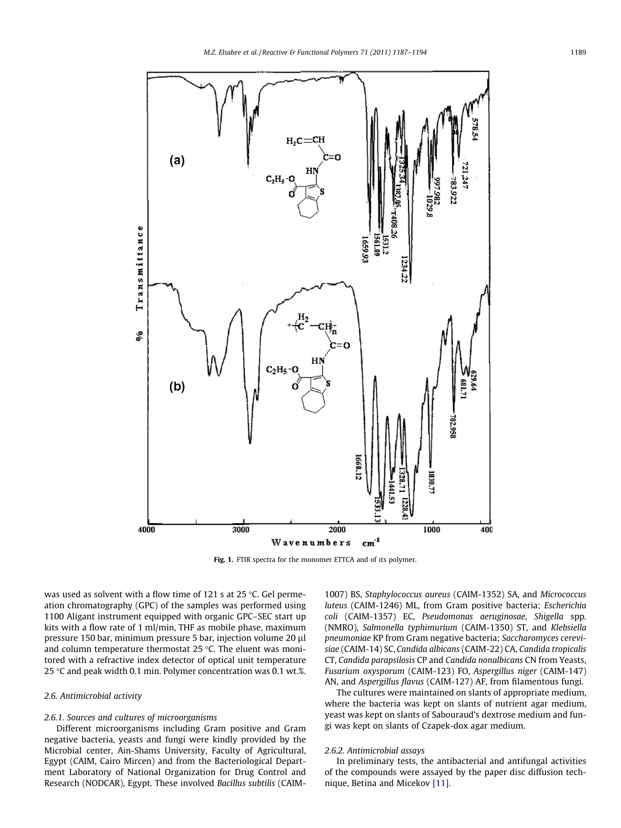<span id="page-2-0"></span>

Fig. 1. FTIR spectra for the monomer ETTCA and of its polymer.

was used as solvent with a flow time of 121 s at 25 °C. Gel permeation chromatography (GPC) of the samples was performed using 1100 Aligant instrument equipped with organic GPC–SEC start up kits with a flow rate of 1 ml/min, THF as mobile phase, maximum pressure 150 bar, minimum pressure 5 bar, injection volume 20 µl and column temperature thermostat 25  $\degree$ C. The eluent was monitored with a refractive index detector of optical unit temperature 25 -C and peak width 0.1 min. Polymer concentration was 0.1 wt.%.

# 2.6. Antimicrobial activity

#### 2.6.1. Sources and cultures of microorganisms

Different microorganisms including Gram positive and Gram negative bacteria, yeasts and fungi were kindly provided by the Microbial center, Ain-Shams University, Faculty of Agricultural, Egypt (CAIM, Cairo Mircen) and from the Bacteriological Department Laboratory of National Organization for Drug Control and Research (NODCAR), Egypt. These involved Bacillus subtilis (CAIM- 1007) BS, Staphylococcus aureus (CAIM-1352) SA, and Micrococcus luteus (CAIM-1246) ML, from Gram positive bacteria; Escherichia coli (CAIM-1357) EC, Pseudomonas aeruginosae, Shigella spp. (NMRO), Salmonella typhimurium (CAIM-1350) ST, and Klebsiella pneumoniae KP from Gram negative bacteria; Saccharomyces cerevisiae (CAIM-14) SC, Candida albicans (CAIM-22) CA, Candida tropicalis CT, Candida parapsilosis CP and Candida nonalbicans CN from Yeasts, Fusarium oxysporum (CAIM-123) FO, Aspergillus niger (CAIM-147) AN, and Aspergillus flavus (CAIM-127) AF, from filamentous fungi.

The cultures were maintained on slants of appropriate medium, where the bacteria was kept on slants of nutrient agar medium, yeast was kept on slants of Sabouraud's dextrose medium and fungi was kept on slants of Czapek-dox agar medium.

#### 2.6.2. Antimicrobial assays

In preliminary tests, the antibacterial and antifungal activities of the compounds were assayed by the paper disc diffusion technique, Betina and Micekov [\[11\].](#page-7-0)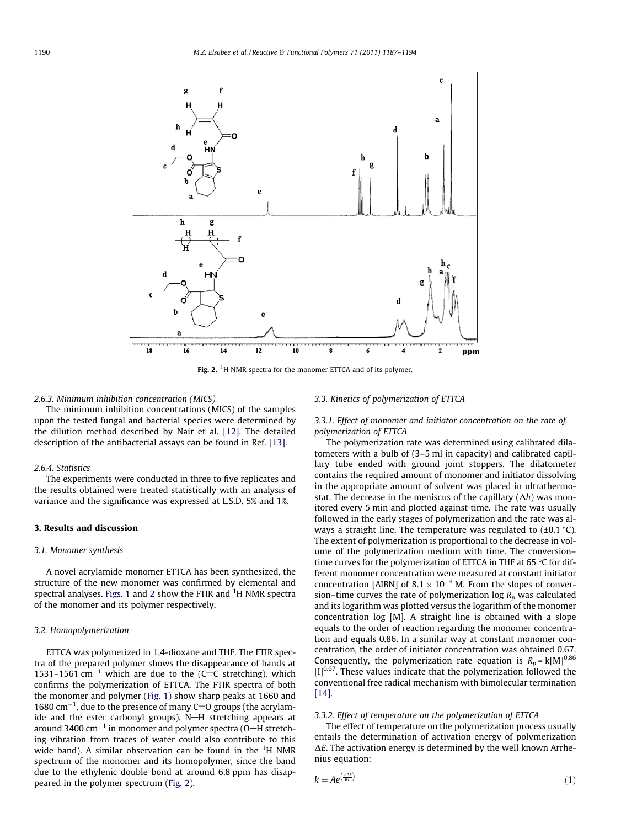

Fig. 2.  $1H$  NMR spectra for the monomer ETTCA and of its polymer.

# 2.6.3. Minimum inhibition concentration (MICS)

The minimum inhibition concentrations (MICS) of the samples upon the tested fungal and bacterial species were determined by the dilution method described by Nair et al. [\[12\]](#page-7-0). The detailed description of the antibacterial assays can be found in Ref. [\[13\].](#page-7-0)

#### 2.6.4. Statistics

The experiments were conducted in three to five replicates and the results obtained were treated statistically with an analysis of variance and the significance was expressed at L.S.D. 5% and 1%.

#### 3. Results and discussion

#### 3.1. Monomer synthesis

A novel acrylamide monomer ETTCA has been synthesized, the structure of the new monomer was confirmed by elemental and spectral analyses. [Figs. 1](#page-2-0) and 2 show the FTIR and <sup>1</sup>H NMR spectra of the monomer and its polymer respectively.

#### 3.2. Homopolymerization

ETTCA was polymerized in 1,4-dioxane and THF. The FTIR spectra of the prepared polymer shows the disappearance of bands at 1531–1561  $cm^{-1}$  which are due to the (C=C stretching), which confirms the polymerization of ETTCA. The FTIR spectra of both the monomer and polymer [\(Fig. 1\)](#page-2-0) show sharp peaks at 1660 and 1680  $\text{cm}^{-1}$ , due to the presence of many C=O groups (the acrylamide and the ester carbonyl groups). N-H stretching appears at around 3400  $\rm cm^{-1}$  in monomer and polymer spectra (O—H stretching vibration from traces of water could also contribute to this wide band). A similar observation can be found in the <sup>1</sup>H NMR spectrum of the monomer and its homopolymer, since the band due to the ethylenic double bond at around 6.8 ppm has disappeared in the polymer spectrum (Fig. 2).

#### 3.3. Kinetics of polymerization of ETTCA

3.3.1. Effect of monomer and initiator concentration on the rate of polymerization of ETTCA

The polymerization rate was determined using calibrated dilatometers with a bulb of (3–5 ml in capacity) and calibrated capillary tube ended with ground joint stoppers. The dilatometer contains the required amount of monomer and initiator dissolving in the appropriate amount of solvent was placed in ultrathermostat. The decrease in the meniscus of the capillary  $(\Delta h)$  was monitored every 5 min and plotted against time. The rate was usually followed in the early stages of polymerization and the rate was always a straight line. The temperature was regulated to  $(\pm 0.1 \degree C)$ . The extent of polymerization is proportional to the decrease in volume of the polymerization medium with time. The conversion– time curves for the polymerization of ETTCA in THF at 65  $\degree$ C for different monomer concentration were measured at constant initiator concentration [AIBN] of 8.1  $\times$  10<sup>-4</sup> M. From the slopes of conversion–time curves the rate of polymerization log  $R_p$  was calculated and its logarithm was plotted versus the logarithm of the monomer concentration log [M]. A straight line is obtained with a slope equals to the order of reaction regarding the monomer concentration and equals 0.86. In a similar way at constant monomer concentration, the order of initiator concentration was obtained 0.67. Consequently, the polymerization rate equation is  $R_p = k[M]^{0.86}$  $[II]^{0.67}$ . These values indicate that the polymerization followed the conventional free radical mechanism with bimolecular termination [\[14\]](#page-7-0).

# 3.3.2. Effect of temperature on the polymerization of ETTCA

The effect of temperature on the polymerization process usually entails the determination of activation energy of polymerization  $\Delta E$ . The activation energy is determined by the well known Arrhenius equation:

$$
k = Ae^{\left(\frac{-\Delta E}{RT}\right)}\tag{1}
$$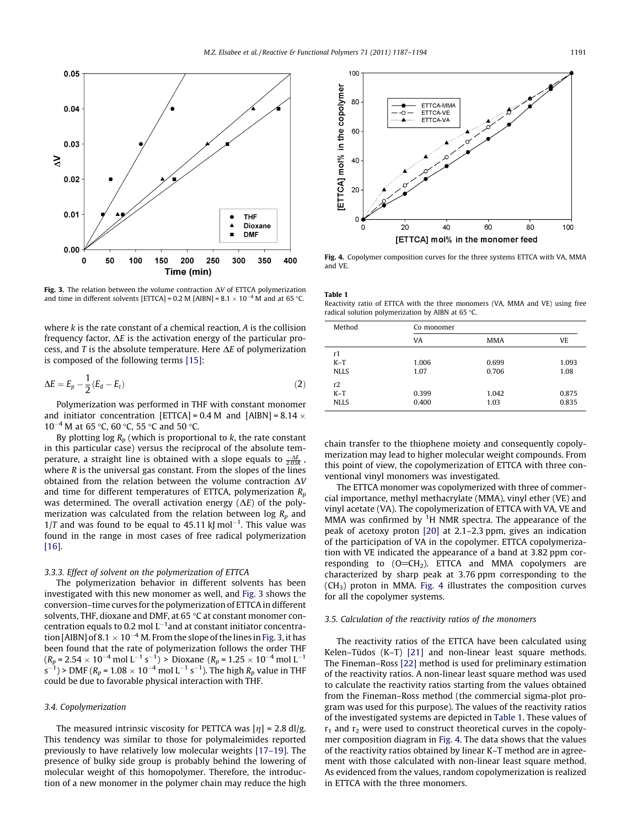

Fig. 3. The relation between the volume contraction  $\Delta V$  of ETTCA polymerization and time in different solvents [ETTCA] = 0.2 M [AIBN] = 8.1  $\times$  10<sup>-4</sup> M and at 65 °C.

where k is the rate constant of a chemical reaction, A is the collision frequency factor,  $\Delta E$  is the activation energy of the particular process, and T is the absolute temperature. Here  $\Delta E$  of polymerization is composed of the following terms [\[15\]:](#page-7-0)

$$
\Delta E = E_p - \frac{1}{2} (E_d - E_t) \tag{2}
$$

Polymerization was performed in THF with constant monomer and initiator concentration [ETTCA] = 0.4 M and [AIBN] = 8.14  $\times$  $10^{-4}$  M at 65 °C, 60 °C, 55 °C and 50 °C.

By plotting log  $R_p$  (which is proportional to k, the rate constant in this particular case) versus the reciprocal of the absolute temperature, a straight line is obtained with a slope equals to  $\frac{-\Delta E}{2.03R}$  , where  *is the universal gas constant. From the slopes of the lines* obtained from the relation between the volume contraction  $\Delta V$ and time for different temperatures of ETTCA, polymerization  $R_p$ was determined. The overall activation energy ( $\Delta E$ ) of the polymerization was calculated from the relation between log  $R_p$  and  $1/T$  and was found to be equal to 45.11 kJ mol<sup>-1</sup>. This value was found in the range in most cases of free radical polymerization [\[16\].](#page-7-0)

#### 3.3.3. Effect of solvent on the polymerization of ETTCA

The polymerization behavior in different solvents has been investigated with this new monomer as well, and Fig. 3 shows the conversion–time curves for the polymerization of ETTCA in different solvents, THF, dioxane and DMF, at 65 °C at constant monomer concentration equals to 0.2 mol  $\mathsf{L}^{-1}$ and at constant initiator concentration [AIBN] of 8.1  $\times$  10 $^{-4}$  M. From the slope of the lines in Fig. 3, it has been found that the rate of polymerization follows the order THF  $(R_p$  = 2.54  $\times$  10<sup>-4</sup> mol L<sup>-1</sup> s<sup>-1</sup>) > Dioxane (R<sub>p</sub> = 1.25  $\times$  10<sup>-4</sup> mol L<sup>-1</sup> s<sup>-1</sup>) > DMF ( $R_p$  = 1.08  $\times$  10<sup>-4</sup> mol L<sup>-1</sup> s<sup>-1</sup>). The high  $R_p$  value in THF could be due to favorable physical interaction with THF.

### 3.4. Copolymerization

The measured intrinsic viscosity for PETTCA was  $[\eta] = 2.8$  dl/g. This tendency was similar to those for polymaleimides reported previously to have relatively low molecular weights [\[17–19\].](#page-7-0) The presence of bulky side group is probably behind the lowering of molecular weight of this homopolymer. Therefore, the introduction of a new monomer in the polymer chain may reduce the high



Fig. 4. Copolymer composition curves for the three systems ETTCA with VA, MMA and VE.

Table 1

Reactivity ratio of ETTCA with the three monomers (VA, MMA and VE) using free radical solution polymerization by AIBN at 65  $^{\circ}$ C.

| Method                     | Co monomer     |                |                |  |  |
|----------------------------|----------------|----------------|----------------|--|--|
|                            | VA             | <b>MMA</b>     | VE.            |  |  |
| r1<br>$K-T$<br><b>NLLS</b> | 1.006<br>1.07  | 0.699<br>0.706 | 1.093<br>1.08  |  |  |
| r2<br>$K-T$<br><b>NLLS</b> | 0.399<br>0.400 | 1.042<br>1.03  | 0.875<br>0.835 |  |  |

chain transfer to the thiophene moiety and consequently copolymerization may lead to higher molecular weight compounds. From this point of view, the copolymerization of ETTCA with three conventional vinyl monomers was investigated.

The ETTCA monomer was copolymerized with three of commercial importance, methyl methacrylate (MMA), vinyl ether (VE) and vinyl acetate (VA). The copolymerization of ETTCA with VA, VE and MMA was confirmed by  $1H$  NMR spectra. The appearance of the peak of acetoxy proton [\[20\]](#page-7-0) at 2.1–2.3 ppm, gives an indication of the participation of VA in the copolymer. ETTCA copolymerization with VE indicated the appearance of a band at 3.82 ppm corresponding to  $(O=CH<sub>2</sub>)$ . ETTCA and MMA copolymers are characterized by sharp peak at 3.76 ppm corresponding to the (CH3) proton in MMA. Fig. 4 illustrates the composition curves for all the copolymer systems.

#### 3.5. Calculation of the reactivity ratios of the monomers

The reactivity ratios of the ETTCA have been calculated using Kelen–Tüdos (K–T) [\[21\]](#page-7-0) and non-linear least square methods. The Fineman–Ross [\[22\]](#page-7-0) method is used for preliminary estimation of the reactivity ratios. A non-linear least square method was used to calculate the reactivity ratios starting from the values obtained from the Fineman–Ross method (the commercial sigma-plot program was used for this purpose). The values of the reactivity ratios of the investigated systems are depicted in Table 1. These values of  $r_1$  and  $r_2$  were used to construct theoretical curves in the copolymer composition diagram in Fig. 4. The data shows that the values of the reactivity ratios obtained by linear K–T method are in agreement with those calculated with non-linear least square method. As evidenced from the values, random copolymerization is realized in ETTCA with the three monomers.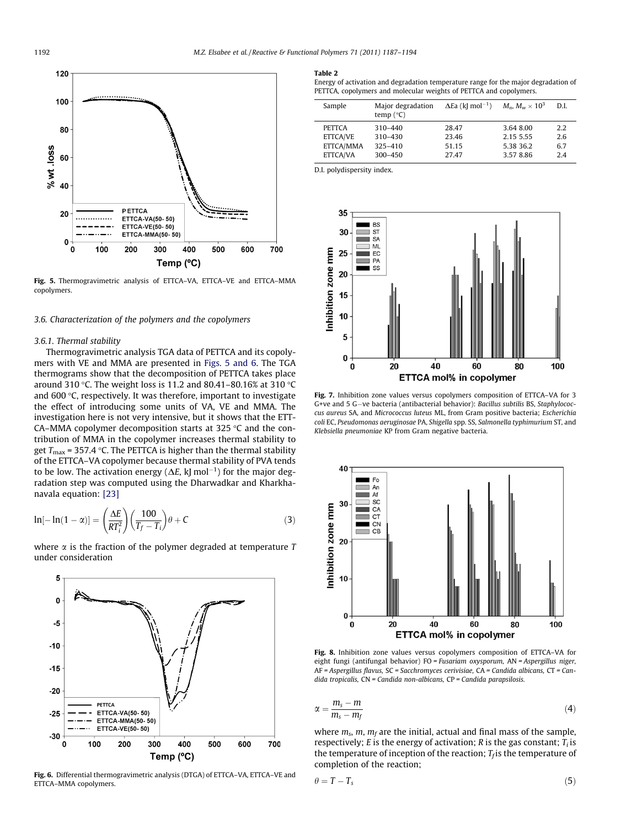<span id="page-5-0"></span>

Fig. 5. Thermogravimetric analysis of ETTCA–VA, ETTCA–VE and ETTCA–MMA copolymers.

#### 3.6. Characterization of the polymers and the copolymers

# 3.6.1. Thermal stability

Thermogravimetric analysis TGA data of PETTCA and its copolymers with VE and MMA are presented in Figs. 5 and 6. The TGA thermograms show that the decomposition of PETTCA takes place around 310 °C. The weight loss is 11.2 and 80.41–80.16% at 310 °C and 600 °C, respectively. It was therefore, important to investigate the effect of introducing some units of VA, VE and MMA. The investigation here is not very intensive, but it shows that the ETT-CA–MMA copolymer decomposition starts at 325 °C and the contribution of MMA in the copolymer increases thermal stability to get T $_{\rm max}$  = 357.4 °C. The PETTCA is higher than the thermal stability of the ETTCA–VA copolymer because thermal stability of PVA tends to be low. The activation energy ( $\Delta E$ , kJ mol $^{-1}$ ) for the major degradation step was computed using the Dharwadkar and Kharkhanavala equation: [\[23\]](#page-7-0)

$$
\ln[-\ln(1-\alpha)] = \left(\frac{\Delta E}{RT_i^2}\right)\left(\frac{100}{T_f - T_i}\right)\theta + C\tag{3}
$$

where  $\alpha$  is the fraction of the polymer degraded at temperature T under consideration



Fig. 6. Differential thermogravimetric analysis (DTGA) of ETTCA–VA, ETTCA–VE and ETTCA–MMA copolymers.

#### Table 2

Energy of activation and degradation temperature range for the major degradation of PETTCA, copolymers and molecular weights of PETTCA and copolymers.

| Sample        | Major degradation<br>temp $(^{\circ}C)$ | $\Delta$ Ea (kJ mol <sup>-1</sup> ) | $M_n, M_w \times 10^3$ | D.I. |
|---------------|-----------------------------------------|-------------------------------------|------------------------|------|
| <b>PETTCA</b> | $310 - 440$                             | 28.47                               | 3.64 8.00              | 2.2  |
| ETTCA/VE      | $310 - 430$                             | 23.46                               | 2.15 5.55              | 2.6  |
| ETTCA/MMA     | $325 - 410$                             | 51.15                               | 5.38 36.2              | 6.7  |
| ETTCA/VA      | $300 - 450$                             | 27.47                               | 3.578.86               | 2.4  |

D.I. polydispersity index.



Fig. 7. Inhibition zone values versus copolymers composition of ETTCA–VA for 3 G+ve and 5 G-ve bacteria (antibacterial behavior): Bacillus subtilis BS, Staphylococcus aureus SA, and Micrococcus luteus ML, from Gram positive bacteria; Escherichia coli EC, Pseudomonas aeruginosae PA, Shigella spp. SS, Salmonella typhimurium ST, and Klebsiella pneumoniae KP from Gram negative bacteria.



Fig. 8. Inhibition zone values versus copolymers composition of ETTCA–VA for eight fungi (antifungal behavior) FO = Fusariam oxysporum, AN = Aspergillus niger, AF = Aspergillus flavus, SC = Sacchromyces cerivisiae, CA = Candida albicans, CT = Candida tropicalis,  $CN =$ Candida non-albicans,  $CP =$ Candida parapsilosis.

$$
\alpha = \frac{m_s - m_f}{m_s - m_f} \tag{4}
$$

where  $m_s$ ,  $m_t$ ,  $m_f$  are the initial, actual and final mass of the sample, respectively; E is the energy of activation; R is the gas constant;  $T_i$  is the temperature of inception of the reaction;  $T_f$  is the temperature of completion of the reaction;

$$
\theta = T - T_s \tag{5}
$$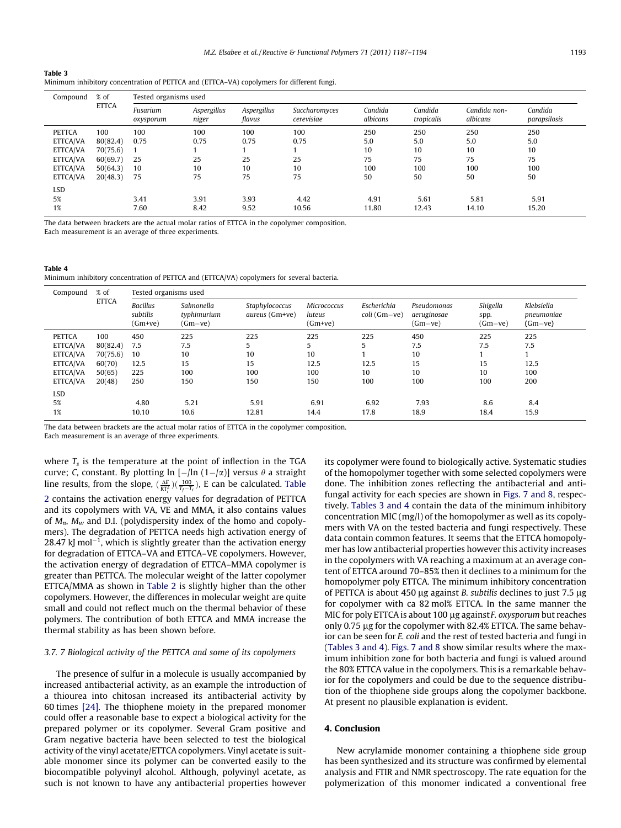| Table 3                                                                                   |  |  |
|-------------------------------------------------------------------------------------------|--|--|
| Minimum inhibitory concentration of PETTCA and (ETTCA–VA) copolymers for different fungi. |  |  |

| % of<br>Compound<br><b>ETTCA</b> |          | Tested organisms used |                      |                       |                             |                     |                       |                          |                         |
|----------------------------------|----------|-----------------------|----------------------|-----------------------|-----------------------------|---------------------|-----------------------|--------------------------|-------------------------|
|                                  |          | Fusarium<br>oxysporum | Aspergillus<br>niger | Aspergillus<br>flavus | Saccharomyces<br>cerevisiae | Candida<br>albicans | Candida<br>tropicalis | Candida non-<br>albicans | Candida<br>parapsilosis |
| <b>PETTCA</b>                    | 100      | 100                   | 100                  | 100                   | 100                         | 250                 | 250                   | 250                      | 250                     |
| ETTCA/VA                         | 80(82.4) | 0.75                  | 0.75                 | 0.75                  | 0.75                        | 5.0                 | 5.0                   | 5.0                      | 5.0                     |
| ETTCA/VA                         | 70(75.6) |                       |                      |                       |                             | 10                  | 10                    | 10                       | 10                      |
| ETTCA/VA                         | 60(69.7) | 25                    | 25                   | 25                    | 25                          | 75                  | 75                    | 75                       | 75                      |
| ETTCA/VA                         | 50(64.3) | 10                    | 10                   | 10                    | 10                          | 100                 | 100                   | 100                      | 100                     |
| ETTCA/VA                         | 20(48.3) | 75                    | 75                   | 75                    | 75                          | 50                  | 50                    | 50                       | 50                      |
| LSD                              |          |                       |                      |                       |                             |                     |                       |                          |                         |
| 5%                               |          | 3.41                  | 3.91                 | 3.93                  | 4.42                        | 4.91                | 5.61                  | 5.81                     | 5.91                    |
| 1%                               |          | 7.60                  | 8.42                 | 9.52                  | 10.56                       | 11.80               | 12.43                 | 14.10                    | 15.20                   |
|                                  |          |                       |                      |                       |                             |                     |                       |                          |                         |

The data between brackets are the actual molar ratios of ETTCA in the copolymer composition. Each measurement is an average of three experiments.

| Table 4                                                                                    |  |  |
|--------------------------------------------------------------------------------------------|--|--|
| Minimum inhibitory concentration of PETTCA and (ETTCA/VA) copolymers for several bacteria. |  |  |

| Compound      | % of<br><b>ETTCA</b> | Tested organisms used                  |                                        |                                  |                                  |                                                 |                                         |                               |                                       |
|---------------|----------------------|----------------------------------------|----------------------------------------|----------------------------------|----------------------------------|-------------------------------------------------|-----------------------------------------|-------------------------------|---------------------------------------|
|               |                      | <b>Bacillus</b><br>subtilis<br>(Gm+ve) | Salmonella<br>typhimurium<br>$(Gm-ve)$ | Staphylococcus<br>aureus (Gm+ve) | Micrococcus<br>luteus<br>(Gm+ve) | Escherichia<br>$\text{coli}$ ( $\text{Gm-ve}$ ) | Pseudomonas<br>aeruginosae<br>$(Gm-ve)$ | Shigella<br>spp.<br>$(Gm-ve)$ | Klebsiella<br>pneumoniae<br>$(Gm-ve)$ |
| <b>PETTCA</b> | 100                  | 450                                    | 225                                    | 225                              | 225                              | 225                                             | 450                                     | 225                           | 225                                   |
| ETTCA/VA      | 80(82.4)             | 7.5                                    | 7.5                                    | 5                                | 5                                | 5                                               | 7.5                                     | 7.5                           | 7.5                                   |
| ETTCA/VA      | 70(75.6)             | 10                                     | 10                                     | 10                               | 10                               |                                                 | 10                                      |                               |                                       |
| ETTCA/VA      | 60(70)               | 12.5                                   | 15                                     | 15                               | 12.5                             | 12.5                                            | 15                                      | 15                            | 12.5                                  |
| ETTCA/VA      | 50(65)               | 225                                    | 100                                    | 100                              | 100                              | 10                                              | 10                                      | 10                            | 100                                   |
| ETTCA/VA      | 20(48)               | 250                                    | 150                                    | 150                              | 150                              | 100                                             | 100                                     | 100                           | 200                                   |
| <b>LSD</b>    |                      |                                        |                                        |                                  |                                  |                                                 |                                         |                               |                                       |
| 5%            |                      | 4.80                                   | 5.21                                   | 5.91                             | 6.91                             | 6.92                                            | 7.93                                    | 8.6                           | 8.4                                   |
| 1%            |                      | 10.10                                  | 10.6                                   | 12.81                            | 14.4                             | 17.8                                            | 18.9                                    | 18.4                          | 15.9                                  |

The data between brackets are the actual molar ratios of ETTCA in the copolymer composition.

Each measurement is an average of three experiments.

Table 4

where  $T<sub>s</sub>$  is the temperature at the point of inflection in the TGA curve; C, constant. By plotting  $\ln\left[-/\ln\left(1-\alpha\right)\right]$  versus  $\theta$  a straight line results, from the slope,  $(\frac{\Delta E}{RT_1^2})(\frac{100}{T_f-T_i}),$  E can be calculated. [Table](#page-5-0) [2](#page-5-0) contains the activation energy values for degradation of PETTCA and its copolymers with VA, VE and MMA, it also contains values of  $M_n$ ,  $M_w$  and D.I. (polydispersity index of the homo and copolymers). The degradation of PETTCA needs high activation energy of 28.47 kJ mol $^{-1}$ , which is slightly greater than the activation energy for degradation of ETTCA–VA and ETTCA–VE copolymers. However, the activation energy of degradation of ETTCA–MMA copolymer is greater than PETTCA. The molecular weight of the latter copolymer ETTCA/MMA as shown in [Table 2](#page-5-0) is slightly higher than the other copolymers. However, the differences in molecular weight are quite small and could not reflect much on the thermal behavior of these polymers. The contribution of both ETTCA and MMA increase the thermal stability as has been shown before.

#### 3.7. 7 Biological activity of the PETTCA and some of its copolymers

The presence of sulfur in a molecule is usually accompanied by increased antibacterial activity, as an example the introduction of a thiourea into chitosan increased its antibacterial activity by 60 times [\[24\]](#page-7-0). The thiophene moiety in the prepared monomer could offer a reasonable base to expect a biological activity for the prepared polymer or its copolymer. Several Gram positive and Gram negative bacteria have been selected to test the biological activity of the vinyl acetate/ETTCA copolymers. Vinyl acetate is suitable monomer since its polymer can be converted easily to the biocompatible polyvinyl alcohol. Although, polyvinyl acetate, as such is not known to have any antibacterial properties however its copolymer were found to biologically active. Systematic studies of the homopolymer together with some selected copolymers were done. The inhibition zones reflecting the antibacterial and antifungal activity for each species are shown in [Figs. 7 and 8,](#page-5-0) respectively. Tables 3 and 4 contain the data of the minimum inhibitory concentration MIC (mg/l) of the homopolymer as well as its copolymers with VA on the tested bacteria and fungi respectively. These data contain common features. It seems that the ETTCA homopolymer has low antibacterial properties however this activity increases in the copolymers with VA reaching a maximum at an average content of ETTCA around 70–85% then it declines to a minimum for the homopolymer poly ETTCA. The minimum inhibitory concentration of PETTCA is about 450  $\mu$ g against B. subtilis declines to just 7.5  $\mu$ g for copolymer with ca 82 mol% ETTCA. In the same manner the MIC for poly ETTCA is about 100 µg against F. oxysporum but reaches only 0.75 µg for the copolymer with 82.4% ETTCA. The same behavior can be seen for E. coli and the rest of tested bacteria and fungi in (Tables 3 and 4). [Figs. 7 and 8](#page-5-0) show similar results where the maximum inhibition zone for both bacteria and fungi is valued around the 80% ETTCA value in the copolymers. This is a remarkable behavior for the copolymers and could be due to the sequence distribution of the thiophene side groups along the copolymer backbone. At present no plausible explanation is evident.

# 4. Conclusion

New acrylamide monomer containing a thiophene side group has been synthesized and its structure was confirmed by elemental analysis and FTIR and NMR spectroscopy. The rate equation for the polymerization of this monomer indicated a conventional free